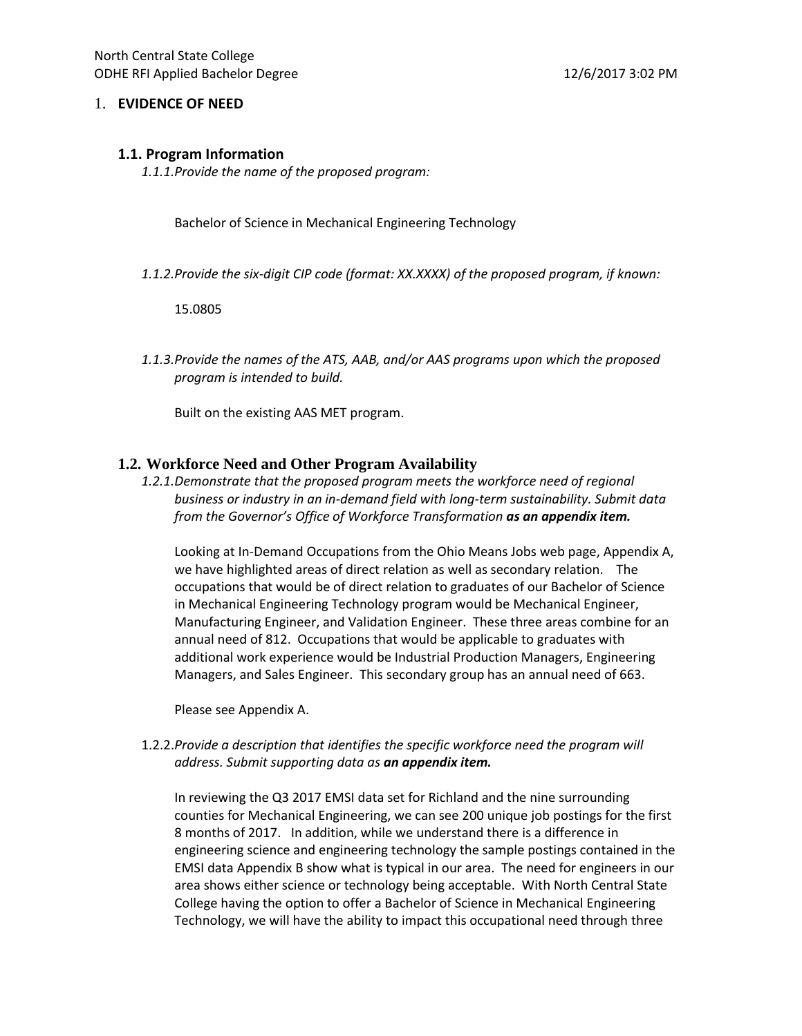#### 1. **EVIDENCE OF NEED**

#### **1.1. Program Information**

*1.1.1.Provide the name of the proposed program:* 

Bachelor of Science in Mechanical Engineering Technology

*1.1.2.Provide the six-digit CIP code (format: XX.XXXX) of the proposed program, if known:*

15.0805

*1.1.3.Provide the names of the ATS, AAB, and/or AAS programs upon which the proposed program is intended to build.* 

Built on the existing AAS MET program.

### **1.2. Workforce Need and Other Program Availability**

1.2.1.Demonstrate that the proposed program meets the workforce need of regional *business or industry in an in-demand field with long-term sustainability. Submit data from the Governor's Office of Workforce Transformation as an appendix item.* 

Looking at In-Demand Occupations from the Ohio Means Jobs web page, Appendix A, we have highlighted areas of direct relation as well as secondary relation. The occupations that would be of direct relation to graduates of our Bachelor of Science in Mechanical Engineering Technology program would be Mechanical Engineer, Manufacturing Engineer, and Validation Engineer. These three areas combine for an annual need of 812. Occupations that would be applicable to graduates with additional work experience would be Industrial Production Managers, Engineering Managers, and Sales Engineer. This secondary group has an annual need of 663.

Please see Appendix A.

1.2.2.*Provide a description that identifies the specific workforce need the program will address. Submit supporting data as an appendix item.* 

In reviewing the Q3 2017 EMSI data set for Richland and the nine surrounding counties for Mechanical Engineering, we can see 200 unique job postings for the first 8 months of 2017. In addition, while we understand there is a difference in engineering science and engineering technology the sample postings contained in the EMSI data Appendix B show what is typical in our area. The need for engineers in our area shows either science or technology being acceptable. With North Central State College having the option to offer a Bachelor of Science in Mechanical Engineering Technology, we will have the ability to impact this occupational need through three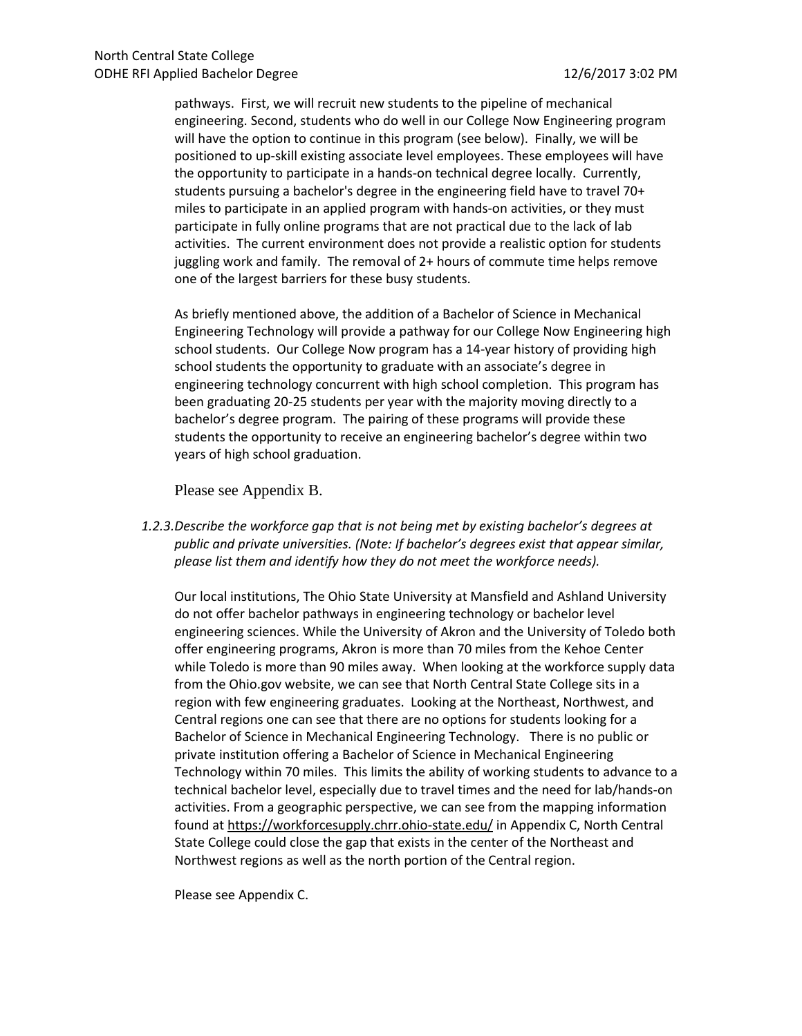pathways. First, we will recruit new students to the pipeline of mechanical engineering. Second, students who do well in our College Now Engineering program will have the option to continue in this program (see below). Finally, we will be positioned to up-skill existing associate level employees. These employees will have the opportunity to participate in a hands-on technical degree locally. Currently, students pursuing a bachelor's degree in the engineering field have to travel 70+ miles to participate in an applied program with hands-on activities, or they must participate in fully online programs that are not practical due to the lack of lab activities. The current environment does not provide a realistic option for students juggling work and family. The removal of 2+ hours of commute time helps remove one of the largest barriers for these busy students.

As briefly mentioned above, the addition of a Bachelor of Science in Mechanical Engineering Technology will provide a pathway for our College Now Engineering high school students. Our College Now program has a 14-year history of providing high school students the opportunity to graduate with an associate's degree in engineering technology concurrent with high school completion. This program has been graduating 20-25 students per year with the majority moving directly to a bachelor's degree program. The pairing of these programs will provide these students the opportunity to receive an engineering bachelor's degree within two years of high school graduation.

Please see Appendix B.

*1.2.3.Describe the workforce gap that is not being met by existing bachelor's degrees at public and private universities. (Note: If bachelor's degrees exist that appear similar, please list them and identify how they do not meet the workforce needs).* 

Our local institutions, The Ohio State University at Mansfield and Ashland University do not offer bachelor pathways in engineering technology or bachelor level engineering sciences. While the University of Akron and the University of Toledo both offer engineering programs, Akron is more than 70 miles from the Kehoe Center while Toledo is more than 90 miles away. When looking at the workforce supply data from the Ohio.gov website, we can see that North Central State College sits in a region with few engineering graduates. Looking at the Northeast, Northwest, and Central regions one can see that there are no options for students looking for a Bachelor of Science in Mechanical Engineering Technology. There is no public or private institution offering a Bachelor of Science in Mechanical Engineering Technology within 70 miles. This limits the ability of working students to advance to a technical bachelor level, especially due to travel times and the need for lab/hands-on activities. From a geographic perspective, we can see from the mapping information found a[t https://workforcesupply.chrr.ohio-state.edu/](https://workforcesupply.chrr.ohio-state.edu/) in Appendix C, North Central State College could close the gap that exists in the center of the Northeast and Northwest regions as well as the north portion of the Central region.

Please see Appendix C.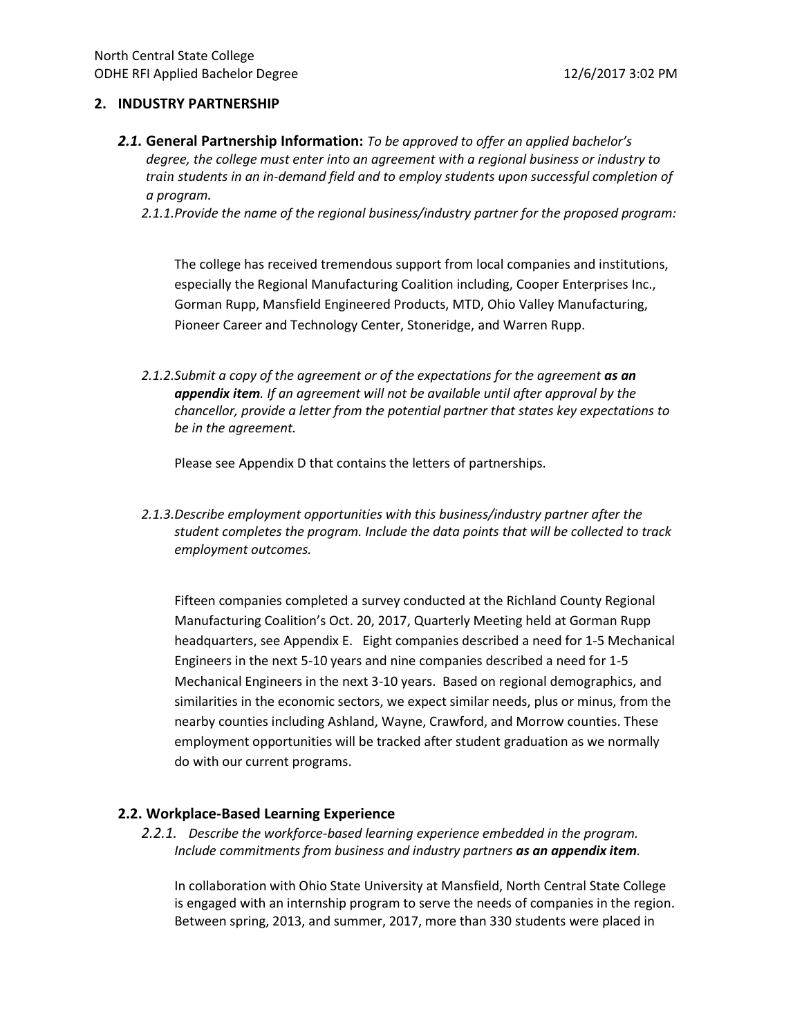#### **2. INDUSTRY PARTNERSHIP**

*2.1.* **General Partnership Information:** *To be approved to offer an applied bachelor's degree, the college must enter into an agreement with a regional business or industry to train students in an in-demand field and to employ students upon successful completion of a program.*

*2.1.1.Provide the name of the regional business/industry partner for the proposed program:* 

The college has received tremendous support from local companies and institutions, especially the Regional Manufacturing Coalition including, Cooper Enterprises Inc., Gorman Rupp, Mansfield Engineered Products, MTD, Ohio Valley Manufacturing, Pioneer Career and Technology Center, Stoneridge, and Warren Rupp.

*2.1.2.Submit a copy of the agreement or of the expectations for the agreement as an appendix item. If an agreement will not be available until after approval by the chancellor, provide a letter from the potential partner that states key expectations to be in the agreement.* 

Please see Appendix D that contains the letters of partnerships.

*2.1.3.Describe employment opportunities with this business/industry partner after the student completes the program. Include the data points that will be collected to track employment outcomes.* 

Fifteen companies completed a survey conducted at the Richland County Regional Manufacturing Coalition's Oct. 20, 2017, Quarterly Meeting held at Gorman Rupp headquarters, see Appendix E. Eight companies described a need for 1-5 Mechanical Engineers in the next 5-10 years and nine companies described a need for 1-5 Mechanical Engineers in the next 3-10 years. Based on regional demographics, and similarities in the economic sectors, we expect similar needs, plus or minus, from the nearby counties including Ashland, Wayne, Crawford, and Morrow counties. These employment opportunities will be tracked after student graduation as we normally do with our current programs.

## **2.2. Workplace-Based Learning Experience**

*2.2.1. Describe the workforce-based learning experience embedded in the program. Include commitments from business and industry partners as an appendix item.* 

In collaboration with Ohio State University at Mansfield, North Central State College is engaged with an internship program to serve the needs of companies in the region. Between spring, 2013, and summer, 2017, more than 330 students were placed in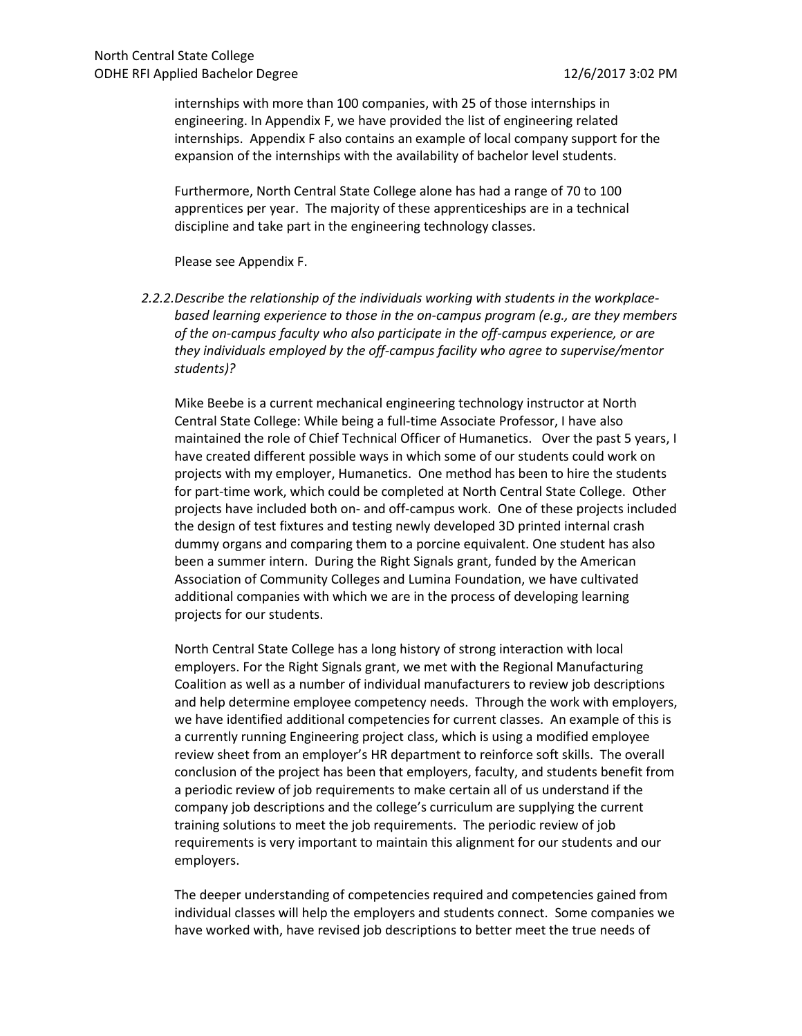internships with more than 100 companies, with 25 of those internships in engineering. In Appendix F, we have provided the list of engineering related internships. Appendix F also contains an example of local company support for the expansion of the internships with the availability of bachelor level students.

Furthermore, North Central State College alone has had a range of 70 to 100 apprentices per year. The majority of these apprenticeships are in a technical discipline and take part in the engineering technology classes.

Please see Appendix F.

*2.2.2.Describe the relationship of the individuals working with students in the workplacebased learning experience to those in the on-campus program (e.g., are they members of the on-campus faculty who also participate in the off-campus experience, or are they individuals employed by the off-campus facility who agree to supervise/mentor students)?* 

Mike Beebe is a current mechanical engineering technology instructor at North Central State College: While being a full-time Associate Professor, I have also maintained the role of Chief Technical Officer of Humanetics. Over the past 5 years, I have created different possible ways in which some of our students could work on projects with my employer, Humanetics. One method has been to hire the students for part-time work, which could be completed at North Central State College. Other projects have included both on- and off-campus work. One of these projects included the design of test fixtures and testing newly developed 3D printed internal crash dummy organs and comparing them to a porcine equivalent. One student has also been a summer intern. During the Right Signals grant, funded by the American Association of Community Colleges and Lumina Foundation, we have cultivated additional companies with which we are in the process of developing learning projects for our students.

North Central State College has a long history of strong interaction with local employers. For the Right Signals grant, we met with the Regional Manufacturing Coalition as well as a number of individual manufacturers to review job descriptions and help determine employee competency needs. Through the work with employers, we have identified additional competencies for current classes. An example of this is a currently running Engineering project class, which is using a modified employee review sheet from an employer's HR department to reinforce soft skills. The overall conclusion of the project has been that employers, faculty, and students benefit from a periodic review of job requirements to make certain all of us understand if the company job descriptions and the college's curriculum are supplying the current training solutions to meet the job requirements. The periodic review of job requirements is very important to maintain this alignment for our students and our employers.

The deeper understanding of competencies required and competencies gained from individual classes will help the employers and students connect. Some companies we have worked with, have revised job descriptions to better meet the true needs of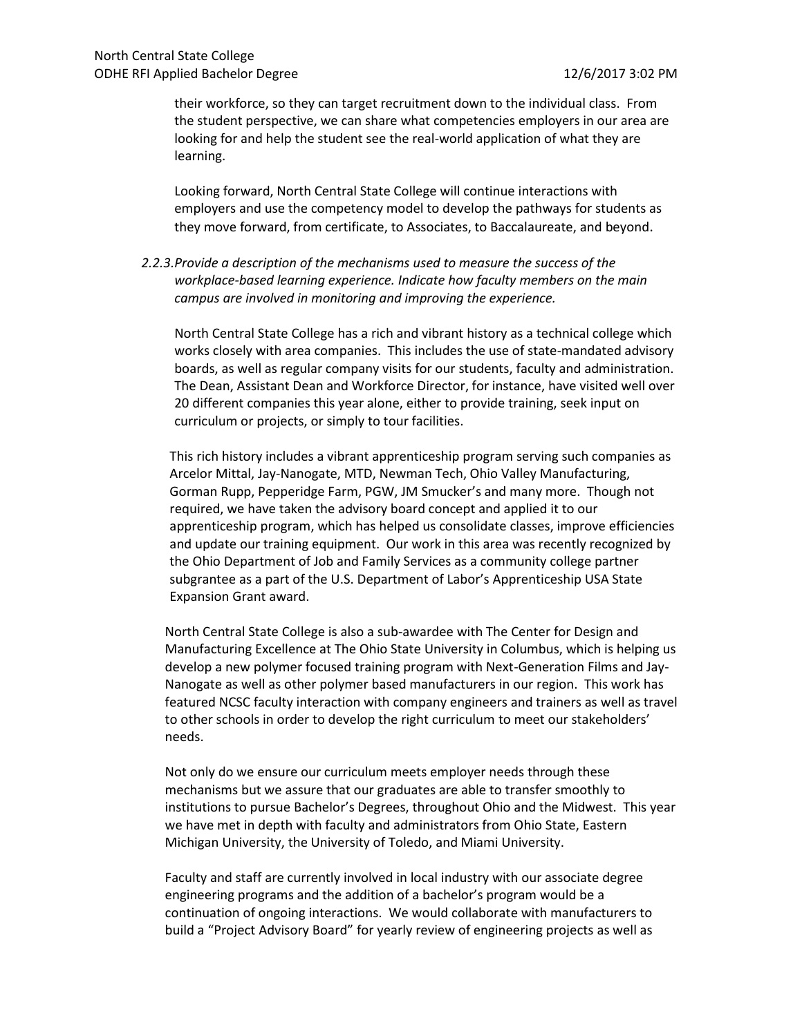their workforce, so they can target recruitment down to the individual class. From the student perspective, we can share what competencies employers in our area are looking for and help the student see the real-world application of what they are learning.

Looking forward, North Central State College will continue interactions with employers and use the competency model to develop the pathways for students as they move forward, from certificate, to Associates, to Baccalaureate, and beyond.

*2.2.3.Provide a description of the mechanisms used to measure the success of the workplace-based learning experience. Indicate how faculty members on the main campus are involved in monitoring and improving the experience.*

North Central State College has a rich and vibrant history as a technical college which works closely with area companies. This includes the use of state-mandated advisory boards, as well as regular company visits for our students, faculty and administration. The Dean, Assistant Dean and Workforce Director, for instance, have visited well over 20 different companies this year alone, either to provide training, seek input on curriculum or projects, or simply to tour facilities.

This rich history includes a vibrant apprenticeship program serving such companies as Arcelor Mittal, Jay-Nanogate, MTD, Newman Tech, Ohio Valley Manufacturing, Gorman Rupp, Pepperidge Farm, PGW, JM Smucker's and many more. Though not required, we have taken the advisory board concept and applied it to our apprenticeship program, which has helped us consolidate classes, improve efficiencies and update our training equipment. Our work in this area was recently recognized by the Ohio Department of Job and Family Services as a community college partner subgrantee as a part of the U.S. Department of Labor's Apprenticeship USA State Expansion Grant award.

North Central State College is also a sub-awardee with The Center for Design and Manufacturing Excellence at The Ohio State University in Columbus, which is helping us develop a new polymer focused training program with Next-Generation Films and Jay-Nanogate as well as other polymer based manufacturers in our region. This work has featured NCSC faculty interaction with company engineers and trainers as well as travel to other schools in order to develop the right curriculum to meet our stakeholders' needs.

Not only do we ensure our curriculum meets employer needs through these mechanisms but we assure that our graduates are able to transfer smoothly to institutions to pursue Bachelor's Degrees, throughout Ohio and the Midwest. This year we have met in depth with faculty and administrators from Ohio State, Eastern Michigan University, the University of Toledo, and Miami University.

Faculty and staff are currently involved in local industry with our associate degree engineering programs and the addition of a bachelor's program would be a continuation of ongoing interactions. We would collaborate with manufacturers to build a "Project Advisory Board" for yearly review of engineering projects as well as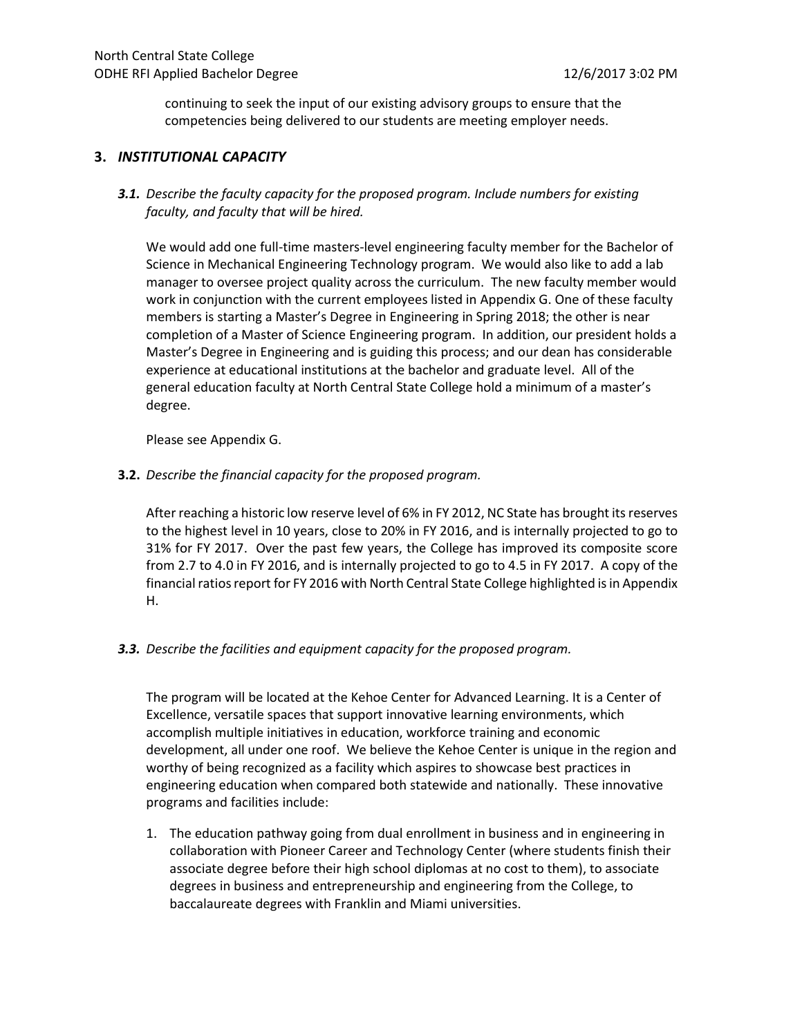continuing to seek the input of our existing advisory groups to ensure that the competencies being delivered to our students are meeting employer needs.

#### **3.** *INSTITUTIONAL CAPACITY*

*3.1. Describe the faculty capacity for the proposed program. Include numbers for existing faculty, and faculty that will be hired.* 

We would add one full-time masters-level engineering faculty member for the Bachelor of Science in Mechanical Engineering Technology program. We would also like to add a lab manager to oversee project quality across the curriculum. The new faculty member would work in conjunction with the current employees listed in Appendix G. One of these faculty members is starting a Master's Degree in Engineering in Spring 2018; the other is near completion of a Master of Science Engineering program. In addition, our president holds a Master's Degree in Engineering and is guiding this process; and our dean has considerable experience at educational institutions at the bachelor and graduate level. All of the general education faculty at North Central State College hold a minimum of a master's degree.

Please see Appendix G.

**3.2.** *Describe the financial capacity for the proposed program.* 

After reaching a historic low reserve level of 6% in FY 2012, NC State has brought its reserves to the highest level in 10 years, close to 20% in FY 2016, and is internally projected to go to 31% for FY 2017. Over the past few years, the College has improved its composite score from 2.7 to 4.0 in FY 2016, and is internally projected to go to 4.5 in FY 2017. A copy of the financial ratios report for FY 2016 with North Central State College highlighted is in Appendix H.

*3.3. Describe the facilities and equipment capacity for the proposed program.* 

The program will be located at the Kehoe Center for Advanced Learning. It is a Center of Excellence, versatile spaces that support innovative learning environments, which accomplish multiple initiatives in education, workforce training and economic development, all under one roof. We believe the Kehoe Center is unique in the region and worthy of being recognized as a facility which aspires to showcase best practices in engineering education when compared both statewide and nationally. These innovative programs and facilities include:

1. The education pathway going from dual enrollment in business and in engineering in collaboration with Pioneer Career and Technology Center (where students finish their associate degree before their high school diplomas at no cost to them), to associate degrees in business and entrepreneurship and engineering from the College, to baccalaureate degrees with Franklin and Miami universities.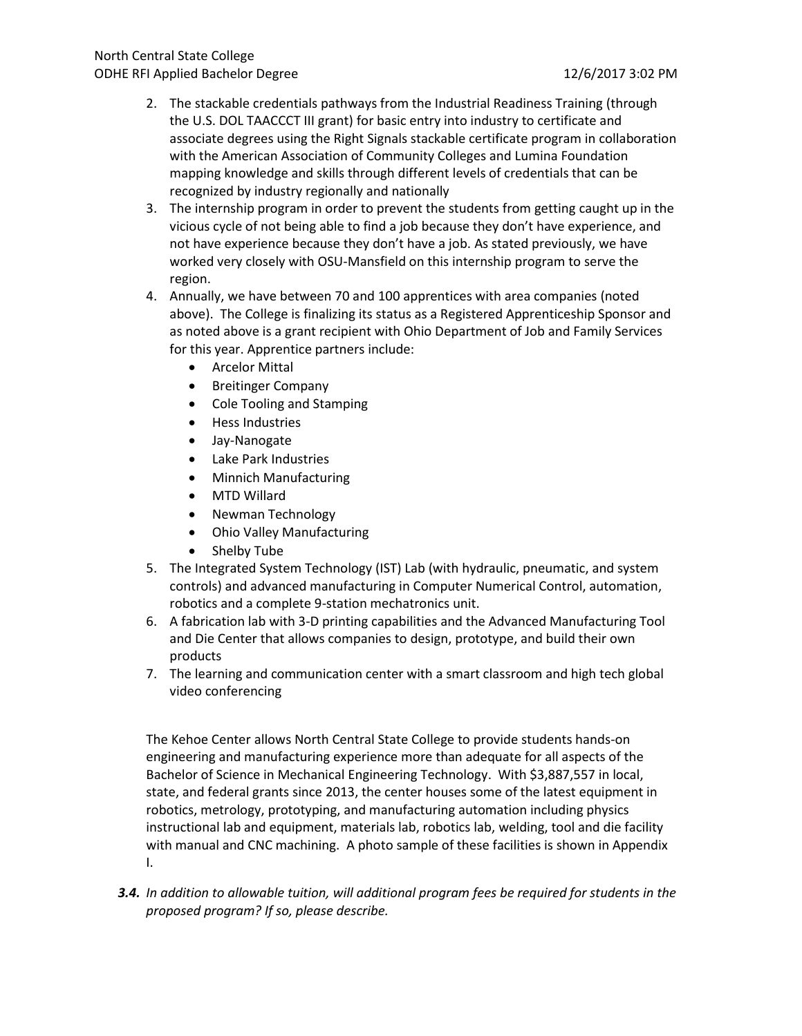- 2. The stackable credentials pathways from the Industrial Readiness Training (through the U.S. DOL TAACCCT III grant) for basic entry into industry to certificate and associate degrees using the Right Signals stackable certificate program in collaboration with the American Association of Community Colleges and Lumina Foundation mapping knowledge and skills through different levels of credentials that can be recognized by industry regionally and nationally
- 3. The internship program in order to prevent the students from getting caught up in the vicious cycle of not being able to find a job because they don't have experience, and not have experience because they don't have a job. As stated previously, we have worked very closely with OSU-Mansfield on this internship program to serve the region.
- 4. Annually, we have between 70 and 100 apprentices with area companies (noted above). The College is finalizing its status as a Registered Apprenticeship Sponsor and as noted above is a grant recipient with Ohio Department of Job and Family Services for this year. Apprentice partners include:
	- Arcelor Mittal
	- Breitinger Company
	- Cole Tooling and Stamping
	- Hess Industries
	- Jay-Nanogate
	- Lake Park Industries
	- Minnich Manufacturing
	- MTD Willard
	- Newman Technology
	- Ohio Valley Manufacturing
	- Shelby Tube
- 5. The Integrated System Technology (IST) Lab (with hydraulic, pneumatic, and system controls) and advanced manufacturing in Computer Numerical Control, automation, robotics and a complete 9-station mechatronics unit.
- 6. A fabrication lab with 3-D printing capabilities and the Advanced Manufacturing Tool and Die Center that allows companies to design, prototype, and build their own products
- 7. The learning and communication center with a smart classroom and high tech global video conferencing

The Kehoe Center allows North Central State College to provide students hands-on engineering and manufacturing experience more than adequate for all aspects of the Bachelor of Science in Mechanical Engineering Technology. With \$3,887,557 in local, state, and federal grants since 2013, the center houses some of the latest equipment in robotics, metrology, prototyping, and manufacturing automation including physics instructional lab and equipment, materials lab, robotics lab, welding, tool and die facility with manual and CNC machining. A photo sample of these facilities is shown in Appendix I.

*3.4. In addition to allowable tuition, will additional program fees be required for students in the proposed program? If so, please describe.*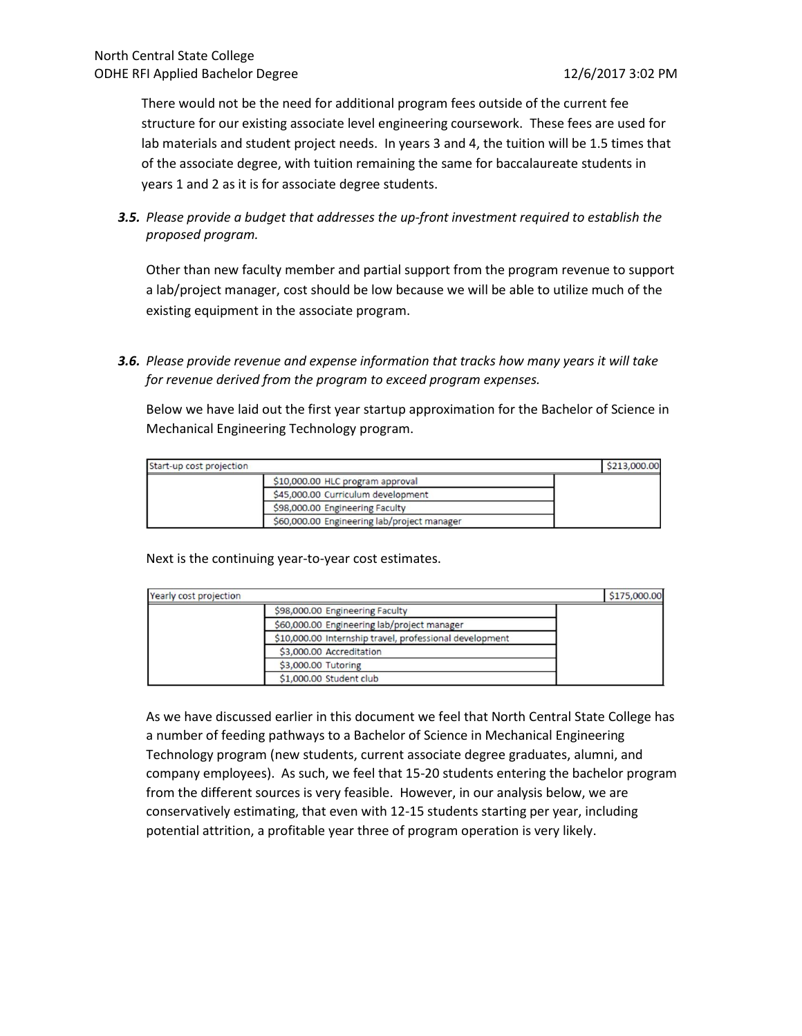There would not be the need for additional program fees outside of the current fee structure for our existing associate level engineering coursework. These fees are used for lab materials and student project needs. In years 3 and 4, the tuition will be 1.5 times that of the associate degree, with tuition remaining the same for baccalaureate students in years 1 and 2 as it is for associate degree students.

*3.5. Please provide a budget that addresses the up-front investment required to establish the proposed program.* 

Other than new faculty member and partial support from the program revenue to support a lab/project manager, cost should be low because we will be able to utilize much of the existing equipment in the associate program.

*3.6. Please provide revenue and expense information that tracks how many years it will take for revenue derived from the program to exceed program expenses.* 

Below we have laid out the first year startup approximation for the Bachelor of Science in Mechanical Engineering Technology program.

| Start-up cost projection |                                             | \$213,000.00 |
|--------------------------|---------------------------------------------|--------------|
|                          | \$10,000.00 HLC program approval            |              |
|                          | \$45,000.00 Curriculum development          |              |
|                          | \$98,000.00 Engineering Faculty             |              |
|                          | \$60,000.00 Engineering lab/project manager |              |

Next is the continuing year-to-year cost estimates.

| Yearly cost projection |                                                         | \$175,000.00 |
|------------------------|---------------------------------------------------------|--------------|
|                        | \$98,000.00 Engineering Faculty                         |              |
|                        | \$60,000.00 Engineering lab/project manager             |              |
|                        | \$10,000.00 Internship travel, professional development |              |
|                        | \$3,000.00 Accreditation                                |              |
|                        | \$3,000.00 Tutoring                                     |              |
|                        | \$1,000.00 Student club                                 |              |

As we have discussed earlier in this document we feel that North Central State College has a number of feeding pathways to a Bachelor of Science in Mechanical Engineering Technology program (new students, current associate degree graduates, alumni, and company employees). As such, we feel that 15-20 students entering the bachelor program from the different sources is very feasible. However, in our analysis below, we are conservatively estimating, that even with 12-15 students starting per year, including potential attrition, a profitable year three of program operation is very likely.